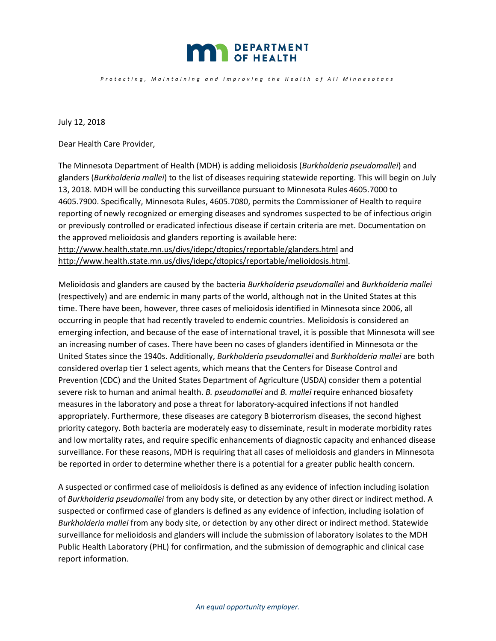

*Protecting , Maintaining and Improving the Health o f All Minnesotan s*

July 12, 2018

Dear Health Care Provider,

The Minnesota Department of Health (MDH) is adding melioidosis (*Burkholderia pseudomallei*) and glanders (*Burkholderia mallei*) to the list of diseases requiring statewide reporting. This will begin on July 13, 2018. MDH will be conducting this surveillance pursuant to Minnesota Rules 4605.7000 to 4605.7900. Specifically, Minnesota Rules, 4605.7080, permits the Commissioner of Health to require reporting of newly recognized or emerging diseases and syndromes suspected to be of infectious origin or previously controlled or eradicated infectious disease if certain criteria are met. Documentation on the approved melioidosis and glanders reporting is available here: <http://www.health.state.mn.us/divs/idepc/dtopics/reportable/glanders.html> and [http://www.health.state.mn.us/divs/idepc/dtopics/reportable/melioidosis.html.](http://www.health.state.mn.us/divs/idepc/dtopics/reportable/melioidosis.html)

Melioidosis and glanders are caused by the bacteria *Burkholderia pseudomallei* and *Burkholderia mallei* (respectively) and are endemic in many parts of the world, although not in the United States at this time. There have been, however, three cases of melioidosis identified in Minnesota since 2006, all occurring in people that had recently traveled to endemic countries. Melioidosis is considered an emerging infection, and because of the ease of international travel, it is possible that Minnesota will see an increasing number of cases. There have been no cases of glanders identified in Minnesota or the United States since the 1940s. Additionally, *Burkholderia pseudomallei* and *Burkholderia mallei* are both considered overlap tier 1 select agents, which means that the Centers for Disease Control and Prevention (CDC) and the United States Department of Agriculture (USDA) consider them a potential severe risk to human and animal health. *B. pseudomallei* and *B. mallei* require enhanced biosafety measures in the laboratory and pose a threat for laboratory-acquired infections if not handled appropriately. Furthermore, these diseases are category B bioterrorism diseases, the second highest priority category. Both bacteria are moderately easy to disseminate, result in moderate morbidity rates and low mortality rates, and require specific enhancements of diagnostic capacity and enhanced disease surveillance. For these reasons, MDH is requiring that all cases of melioidosis and glanders in Minnesota be reported in order to determine whether there is a potential for a greater public health concern.

A suspected or confirmed case of melioidosis is defined as any evidence of infection including isolation of *Burkholderia pseudomallei* from any body site, or detection by any other direct or indirect method. A suspected or confirmed case of glanders is defined as any evidence of infection, including isolation of *Burkholderia mallei* from any body site, or detection by any other direct or indirect method. Statewide surveillance for melioidosis and glanders will include the submission of laboratory isolates to the MDH Public Health Laboratory (PHL) for confirmation, and the submission of demographic and clinical case report information.